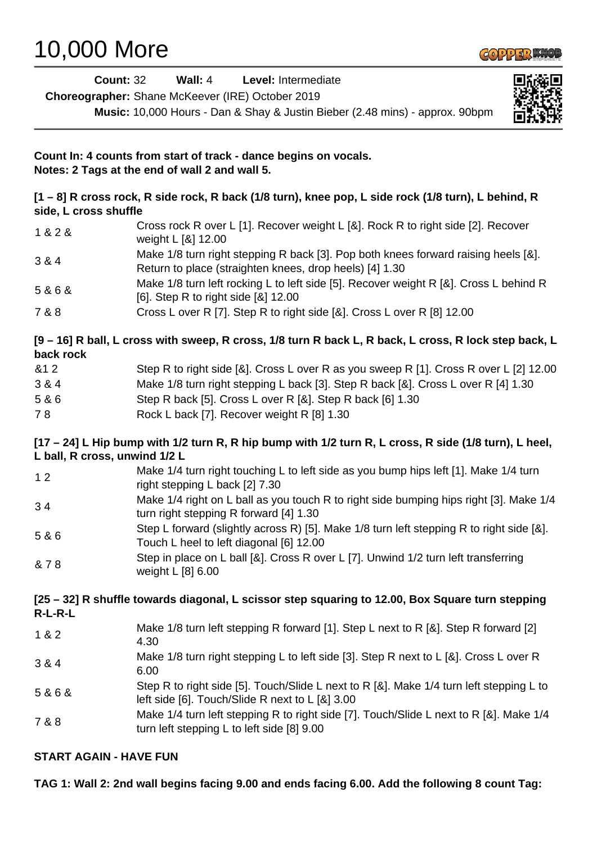## 10,000 More



| <b>Count: 32</b>              | Wall: 4<br>Level: Intermediate                                                                                                                |
|-------------------------------|-----------------------------------------------------------------------------------------------------------------------------------------------|
|                               | Choreographer: Shane McKeever (IRE) October 2019                                                                                              |
|                               | Music: 10,000 Hours - Dan & Shay & Justin Bieber (2.48 mins) - approx. 90bpm                                                                  |
|                               | Count In: 4 counts from start of track - dance begins on vocals.<br>Notes: 2 Tags at the end of wall 2 and wall 5.                            |
| side, L cross shuffle         | [1 - 8] R cross rock, R side rock, R back (1/8 turn), knee pop, L side rock (1/8 turn), L behind, R                                           |
| 1 & 2 &                       | Cross rock R over L [1]. Recover weight L [&]. Rock R to right side [2]. Recover<br>weight L [&] 12.00                                        |
| 3 & 4                         | Make 1/8 turn right stepping R back [3]. Pop both knees forward raising heels [&].<br>Return to place (straighten knees, drop heels) [4] 1.30 |
| 5&6&                          | Make 1/8 turn left rocking L to left side [5]. Recover weight R [&]. Cross L behind R<br>[6]. Step R to right side [&] 12.00                  |
| 7 & 8                         | Cross L over R [7]. Step R to right side [&]. Cross L over R [8] 12.00                                                                        |
| back rock                     | [9 - 16] R ball, L cross with sweep, R cross, 1/8 turn R back L, R back, L cross, R lock step back, L                                         |
| &12                           | Step R to right side [&]. Cross L over R as you sweep R [1]. Cross R over L [2] 12.00                                                         |
| 3 & 4                         | Make 1/8 turn right stepping L back [3]. Step R back [&]. Cross L over R [4] 1.30                                                             |
| 5 & 6                         | Step R back [5]. Cross L over R [&]. Step R back [6] 1.30                                                                                     |
| 78                            | Rock L back [7]. Recover weight R [8] 1.30                                                                                                    |
| L ball, R cross, unwind 1/2 L | [17 – 24] L Hip bump with 1/2 turn R, R hip bump with 1/2 turn R, L cross, R side (1/8 turn), L heel,                                         |
| 12                            | Make 1/4 turn right touching L to left side as you bump hips left [1]. Make 1/4 turn<br>right stepping L back [2] 7.30                        |
| 34                            | Make 1/4 right on L ball as you touch R to right side bumping hips right [3]. Make 1/4<br>turn right stepping R forward [4] 1.30              |
| 5 & 6                         | Step L forward (slightly across R) [5]. Make 1/8 turn left stepping R to right side [&].<br>Touch L heel to left diagonal [6] 12.00           |
| & 78                          | Step in place on L ball [&]. Cross R over L [7]. Unwind 1/2 turn left transferring<br>weight L [8] 6.00                                       |
| $R-L-R-L$                     | [25 – 32] R shuffle towards diagonal, L scissor step squaring to 12.00, Box Square turn stepping                                              |
| 1 & 2                         | Make 1/8 turn left stepping R forward [1]. Step L next to R [&]. Step R forward [2]<br>4.30                                                   |
| 3 & 4                         | Make 1/8 turn right stepping L to left side [3]. Step R next to L [&]. Cross L over R<br>6.00                                                 |
| 5&6&                          | Step R to right side [5]. Touch/Slide L next to R [&]. Make 1/4 turn left stepping L to<br>left side [6]. Touch/Slide R next to L [&] 3.00    |
| 7 & 8                         | Make 1/4 turn left stepping R to right side [7]. Touch/Slide L next to R [&]. Make 1/4<br>turn left stepping L to left side [8] 9.00          |
| <b>START AGAIN - HAVE FUN</b> |                                                                                                                                               |

**TAG 1: Wall 2: 2nd wall begins facing 9.00 and ends facing 6.00. Add the following 8 count Tag:**